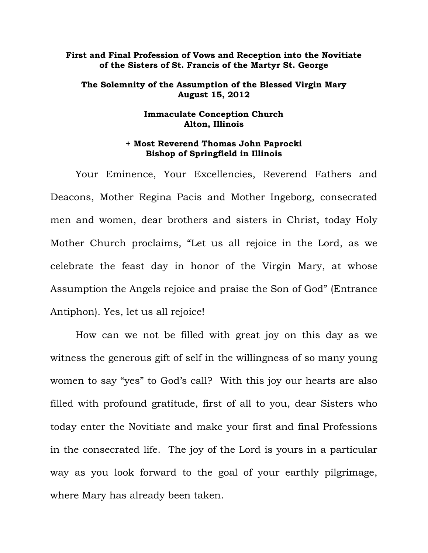## **First and Final Profession of Vows and Reception into the Novitiate of the Sisters of St. Francis of the Martyr St. George**

## **The Solemnity of the Assumption of the Blessed Virgin Mary August 15, 2012**

## **Immaculate Conception Church Alton, Illinois**

## **+ Most Reverend Thomas John Paprocki Bishop of Springfield in Illinois**

Your Eminence, Your Excellencies, Reverend Fathers and Deacons, Mother Regina Pacis and Mother Ingeborg, consecrated men and women, dear brothers and sisters in Christ, today Holy Mother Church proclaims, "Let us all rejoice in the Lord, as we celebrate the feast day in honor of the Virgin Mary, at whose Assumption the Angels rejoice and praise the Son of God" (Entrance Antiphon). Yes, let us all rejoice!

How can we not be filled with great joy on this day as we witness the generous gift of self in the willingness of so many young women to say "yes" to God's call? With this joy our hearts are also filled with profound gratitude, first of all to you, dear Sisters who today enter the Novitiate and make your first and final Professions in the consecrated life. The joy of the Lord is yours in a particular way as you look forward to the goal of your earthly pilgrimage, where Mary has already been taken.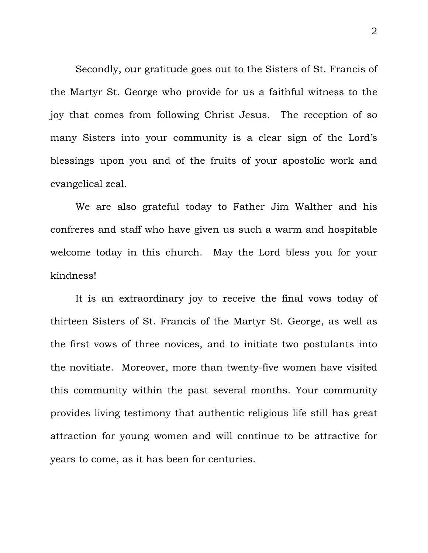Secondly, our gratitude goes out to the Sisters of St. Francis of the Martyr St. George who provide for us a faithful witness to the joy that comes from following Christ Jesus. The reception of so many Sisters into your community is a clear sign of the Lord's blessings upon you and of the fruits of your apostolic work and evangelical zeal.

We are also grateful today to Father Jim Walther and his confreres and staff who have given us such a warm and hospitable welcome today in this church. May the Lord bless you for your kindness!

It is an extraordinary joy to receive the final vows today of thirteen Sisters of St. Francis of the Martyr St. George, as well as the first vows of three novices, and to initiate two postulants into the novitiate. Moreover, more than twenty-five women have visited this community within the past several months. Your community provides living testimony that authentic religious life still has great attraction for young women and will continue to be attractive for years to come, as it has been for centuries.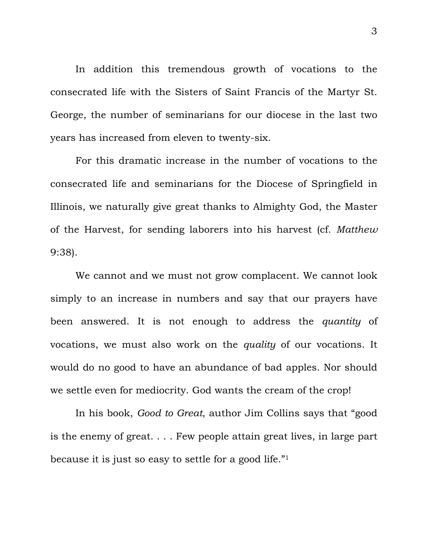In addition this tremendous growth of vocations to the consecrated life with the Sisters of Saint Francis of the Martyr St. George, the number of seminarians for our diocese in the last two years has increased from eleven to twenty-six.

For this dramatic increase in the number of vocations to the consecrated life and seminarians for the Diocese of Springfield in Illinois, we naturally give great thanks to Almighty God, the Master of the Harvest, for sending laborers into his harvest (cf. *Matthew* 9:38).

We cannot and we must not grow complacent. We cannot look simply to an increase in numbers and say that our prayers have been answered. It is not enough to address the *quantity* of vocations, we must also work on the *quality* of our vocations. It would do no good to have an abundance of bad apples. Nor should we settle even for mediocrity. God wants the cream of the crop!

In his book, *Good to Great*, author Jim Collins says that "good is the enemy of great. . . . Few people attain great lives, in large part because it is just so easy to settle for a good life."1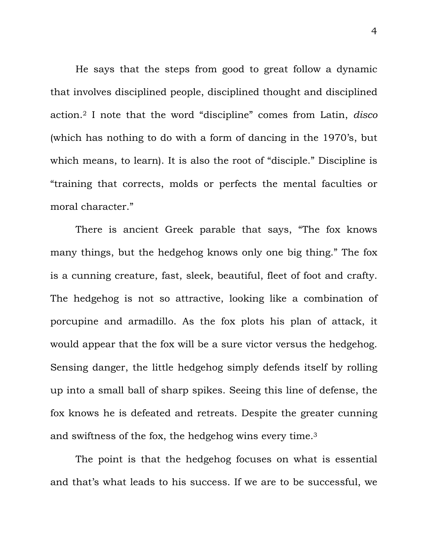He says that the steps from good to great follow a dynamic that involves disciplined people, disciplined thought and disciplined action.2 I note that the word "discipline" comes from Latin, *disco* (which has nothing to do with a form of dancing in the 1970's, but which means, to learn). It is also the root of "disciple." Discipline is "training that corrects, molds or perfects the mental faculties or moral character."

There is ancient Greek parable that says, "The fox knows many things, but the hedgehog knows only one big thing." The fox is a cunning creature, fast, sleek, beautiful, fleet of foot and crafty. The hedgehog is not so attractive, looking like a combination of porcupine and armadillo. As the fox plots his plan of attack, it would appear that the fox will be a sure victor versus the hedgehog. Sensing danger, the little hedgehog simply defends itself by rolling up into a small ball of sharp spikes. Seeing this line of defense, the fox knows he is defeated and retreats. Despite the greater cunning and swiftness of the fox, the hedgehog wins every time.3

The point is that the hedgehog focuses on what is essential and that's what leads to his success. If we are to be successful, we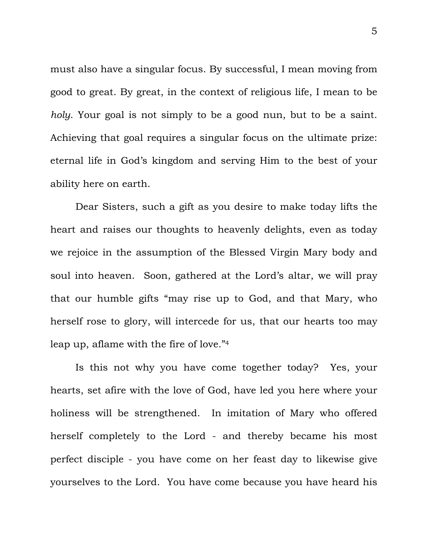must also have a singular focus. By successful, I mean moving from good to great. By great, in the context of religious life, I mean to be *holy*. Your goal is not simply to be a good nun, but to be a saint. Achieving that goal requires a singular focus on the ultimate prize: eternal life in God's kingdom and serving Him to the best of your ability here on earth.

Dear Sisters, such a gift as you desire to make today lifts the heart and raises our thoughts to heavenly delights, even as today we rejoice in the assumption of the Blessed Virgin Mary body and soul into heaven. Soon, gathered at the Lord's altar, we will pray that our humble gifts "may rise up to God, and that Mary, who herself rose to glory, will intercede for us, that our hearts too may leap up, aflame with the fire of love."4

Is this not why you have come together today? Yes, your hearts, set afire with the love of God, have led you here where your holiness will be strengthened. In imitation of Mary who offered herself completely to the Lord - and thereby became his most perfect disciple - you have come on her feast day to likewise give yourselves to the Lord. You have come because you have heard his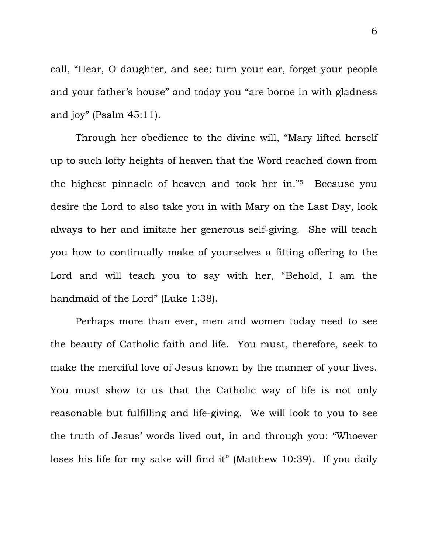call, "Hear, O daughter, and see; turn your ear, forget your people and your father's house" and today you "are borne in with gladness and joy" (Psalm 45:11).

Through her obedience to the divine will, "Mary lifted herself up to such lofty heights of heaven that the Word reached down from the highest pinnacle of heaven and took her in."5 Because you desire the Lord to also take you in with Mary on the Last Day, look always to her and imitate her generous self-giving. She will teach you how to continually make of yourselves a fitting offering to the Lord and will teach you to say with her, "Behold, I am the handmaid of the Lord" (Luke 1:38).

Perhaps more than ever, men and women today need to see the beauty of Catholic faith and life. You must, therefore, seek to make the merciful love of Jesus known by the manner of your lives. You must show to us that the Catholic way of life is not only reasonable but fulfilling and life-giving. We will look to you to see the truth of Jesus' words lived out, in and through you: "Whoever loses his life for my sake will find it" (Matthew 10:39). If you daily